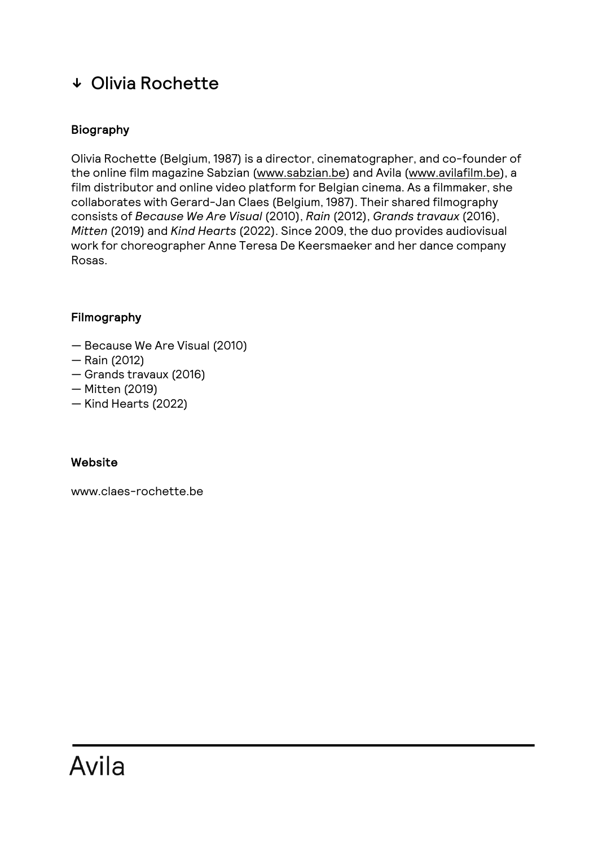# ↓ Olivia Rochette

## Biography

Olivia Rochette (Belgium, 1987) is a director, cinematographer, and co-founder of the online film magazine Sabzian (www.sabzian.be) and Avila (www.avilafilm.be), a film distributor and online video platform for Belgian cinema. As a filmmaker, she collaborates with Gerard-Jan Claes (Belgium, 1987). Their shared filmography consists of *Because We Are Visual* (2010), *Rain* (2012), *Grands travaux* (2016), *Mitten* (2019) and *Kind Hearts* (2022). Since 2009, the duo provides audiovisual work for choreographer Anne Teresa De Keersmaeker and her dance company Rosas.

### Filmography

- Because We Are Visual (2010)
- Rain (2012)
- Grands travaux (2016)
- Mitten (2019)
- Kind Hearts (2022)

### Website

www.claes-rochette.be